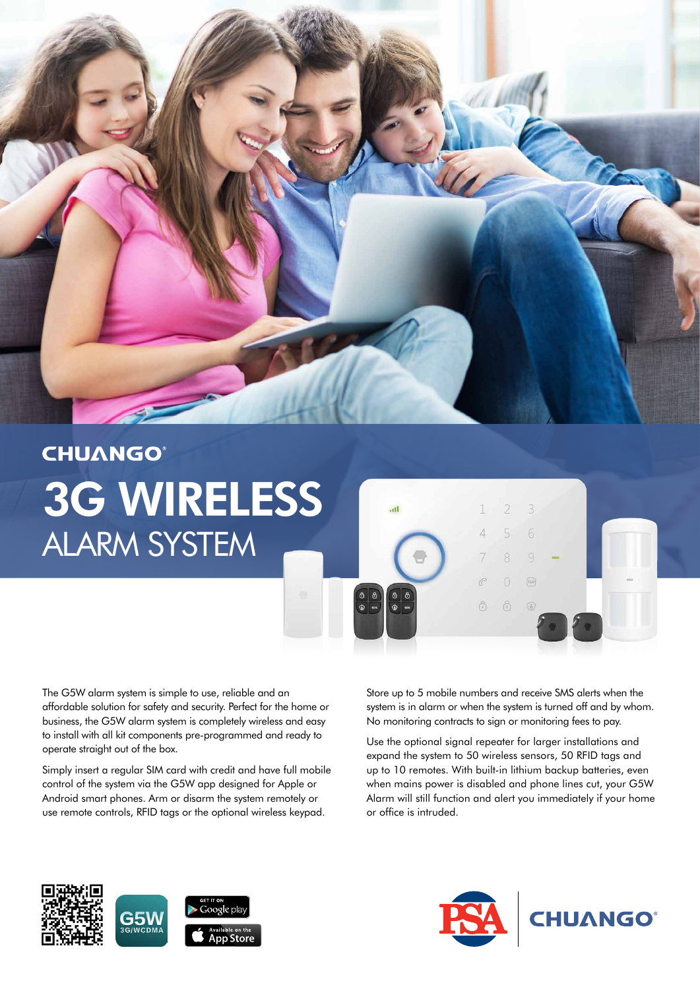

ail

 $\frac{\Theta}{\Theta}$ 

## **CHUANGO®** 3G WIRELESS ALARM SYSTEM

The G5W alarm system is simple to use, reliable and an affordable solution for safety and security. Perfect for the home or business, the G5W alarm system is completely wireless and easy to install with all kit components pre-programmed and ready to operate straight out of the box.

Simply insert a regular SIM card with credit and have full mobile control of the system via the G5W app designed for Apple or Android smart phones. Arm or disarm the system remotely or use remote controls, RFID tags or the optional wireless keypad.

Store up to 5 mobile numbers and receive SMS alerts when the system is in alarm or when the system is turned off and by whom. No monitoring contracts to sign or monitoring fees to pay.

 $\hat{a}$ 

 $\sqrt{ab}$ 

 $\mathcal{G}$ 

 $\overline{6}$ 

 $\bigcirc$ 

Use the optional signal repeater for larger installations and expand the system to 50 wireless sensors, 50 RFID tags and up to 10 remotes. With built-in lithium backup batteries, even when mains power is disabled and phone lines cut, your G5W Alarm will still function and alert you immediately if your home or office is intruded.